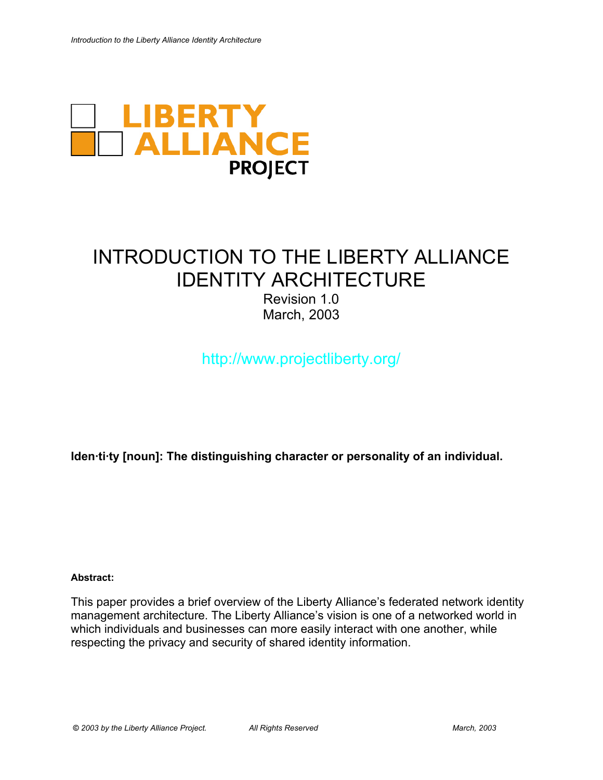

# INTRODUCTION TO THE LIBERTY ALLIANCE IDENTITY ARCHITECTURE

Revision 1.0 March, 2003

http://www.projectliberty.org/

**Iden·ti·ty [noun]: The distinguishing character or personality of an individual.**

### **Abstract:**

This paper provides a brief overview of the Liberty Alliance's federated network identity management architecture. The Liberty Alliance's vision is one of a networked world in which individuals and businesses can more easily interact with one another, while respecting the privacy and security of shared identity information.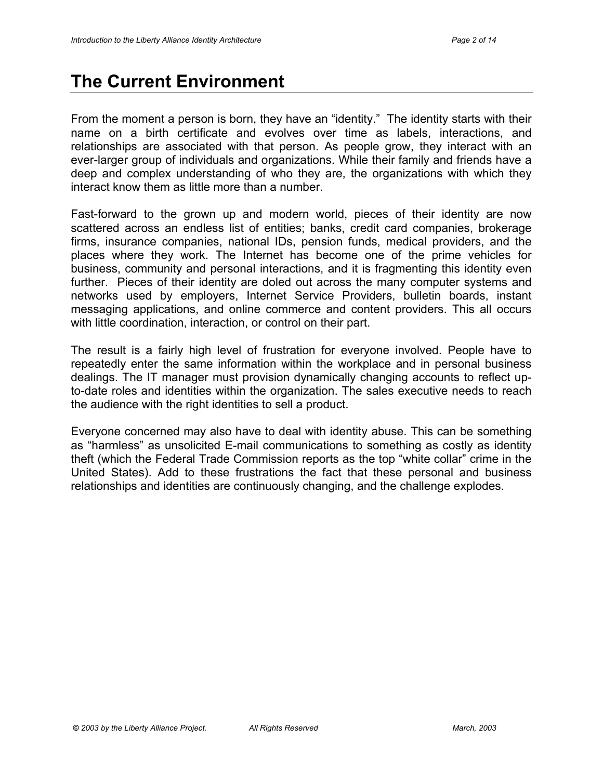## **The Current Environment**

From the moment a person is born, they have an "identity." The identity starts with their name on a birth certificate and evolves over time as labels, interactions, and relationships are associated with that person. As people grow, they interact with an ever-larger group of individuals and organizations. While their family and friends have a deep and complex understanding of who they are, the organizations with which they interact know them as little more than a number.

Fast-forward to the grown up and modern world, pieces of their identity are now scattered across an endless list of entities; banks, credit card companies, brokerage firms, insurance companies, national IDs, pension funds, medical providers, and the places where they work. The Internet has become one of the prime vehicles for business, community and personal interactions, and it is fragmenting this identity even further. Pieces of their identity are doled out across the many computer systems and networks used by employers, Internet Service Providers, bulletin boards, instant messaging applications, and online commerce and content providers. This all occurs with little coordination, interaction, or control on their part.

The result is a fairly high level of frustration for everyone involved. People have to repeatedly enter the same information within the workplace and in personal business dealings. The IT manager must provision dynamically changing accounts to reflect upto-date roles and identities within the organization. The sales executive needs to reach the audience with the right identities to sell a product.

Everyone concerned may also have to deal with identity abuse. This can be something as "harmless" as unsolicited E-mail communications to something as costly as identity theft (which the Federal Trade Commission reports as the top "white collar" crime in the United States). Add to these frustrations the fact that these personal and business relationships and identities are continuously changing, and the challenge explodes.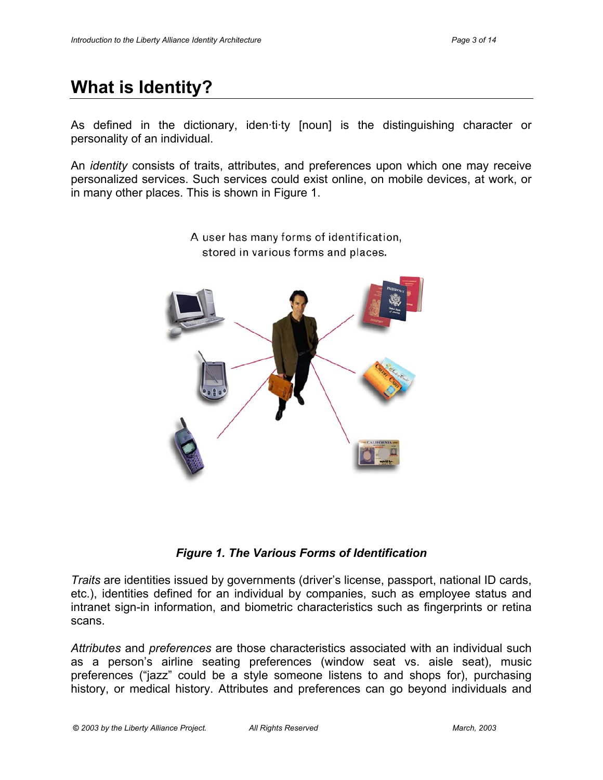## **What is Identity?**

As defined in the dictionary, iden·ti·ty [noun] is the distinguishing character or personality of an individual.

An *identity* consists of traits, attributes, and preferences upon which one may receive personalized services. Such services could exist online, on mobile devices, at work, or in many other places. This is shown in Figure 1.



A user has many forms of identification, stored in various forms and places.

*Figure 1. The Various Forms of Identification*

*Traits* are identities issued by governments (driver's license, passport, national ID cards, etc.), identities defined for an individual by companies, such as employee status and intranet sign-in information, and biometric characteristics such as fingerprints or retina scans.

*Attributes* and *preferences* are those characteristics associated with an individual such as a person's airline seating preferences (window seat vs. aisle seat), music preferences ("jazz" could be a style someone listens to and shops for), purchasing history, or medical history. Attributes and preferences can go beyond individuals and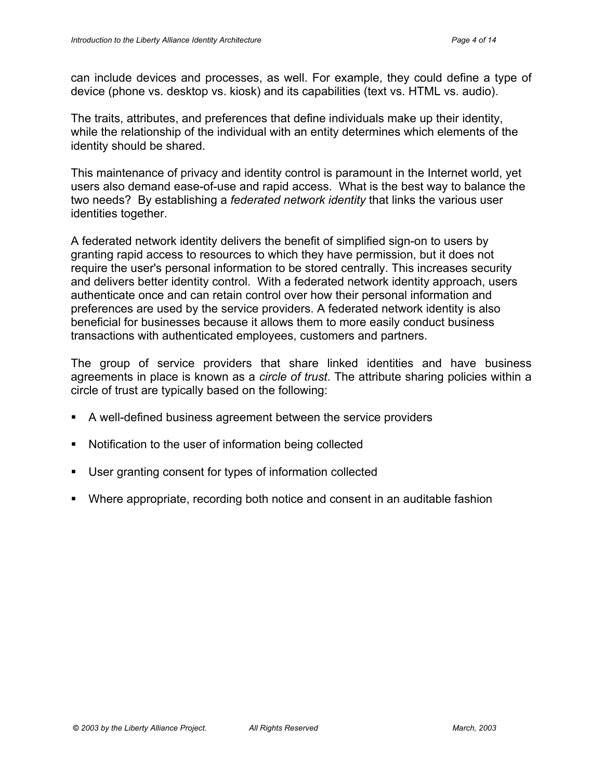can include devices and processes, as well. For example, they could define a type of device (phone vs. desktop vs. kiosk) and its capabilities (text vs. HTML vs. audio).

The traits, attributes, and preferences that define individuals make up their identity, while the relationship of the individual with an entity determines which elements of the identity should be shared.

This maintenance of privacy and identity control is paramount in the Internet world, yet users also demand ease-of-use and rapid access. What is the best way to balance the two needs? By establishing a *federated network identity* that links the various user identities together.

A federated network identity delivers the benefit of simplified sign-on to users by granting rapid access to resources to which they have permission, but it does not require the user's personal information to be stored centrally. This increases security and delivers better identity control. With a federated network identity approach, users authenticate once and can retain control over how their personal information and preferences are used by the service providers. A federated network identity is also beneficial for businesses because it allows them to more easily conduct business transactions with authenticated employees, customers and partners.

The group of service providers that share linked identities and have business agreements in place is known as a *circle of trust*. The attribute sharing policies within a circle of trust are typically based on the following:

- A well-defined business agreement between the service providers
- Notification to the user of information being collected
- User granting consent for types of information collected
- Where appropriate, recording both notice and consent in an auditable fashion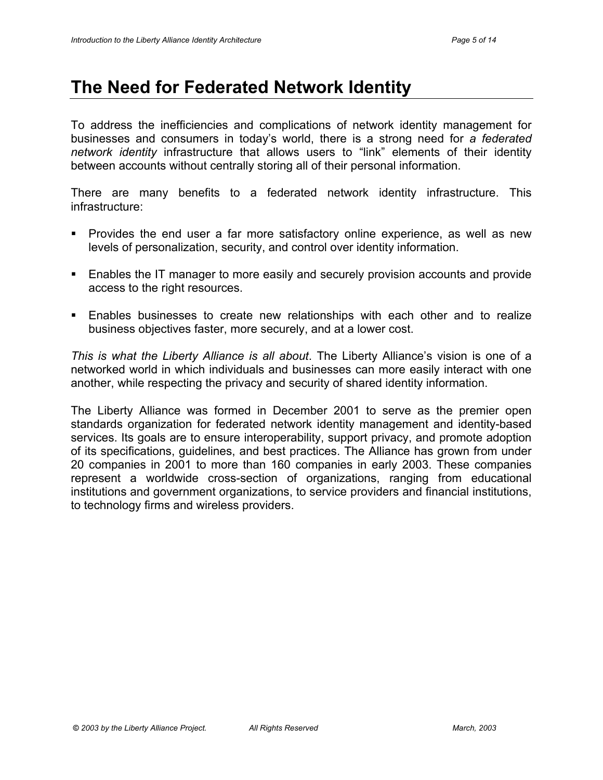## **The Need for Federated Network Identity**

To address the inefficiencies and complications of network identity management for businesses and consumers in today's world, there is a strong need for *a federated network identity* infrastructure that allows users to "link" elements of their identity between accounts without centrally storing all of their personal information.

There are many benefits to a federated network identity infrastructure. This infrastructure:

- **Provides the end user a far more satisfactory online experience, as well as new** levels of personalization, security, and control over identity information.
- Enables the IT manager to more easily and securely provision accounts and provide access to the right resources.
- Enables businesses to create new relationships with each other and to realize business objectives faster, more securely, and at a lower cost.

*This is what the Liberty Alliance is all about*. The Liberty Alliance's vision is one of a networked world in which individuals and businesses can more easily interact with one another, while respecting the privacy and security of shared identity information.

The Liberty Alliance was formed in December 2001 to serve as the premier open standards organization for federated network identity management and identity-based services. Its goals are to ensure interoperability, support privacy, and promote adoption of its specifications, guidelines, and best practices. The Alliance has grown from under 20 companies in 2001 to more than 160 companies in early 2003. These companies represent a worldwide cross-section of organizations, ranging from educational institutions and government organizations, to service providers and financial institutions, to technology firms and wireless providers.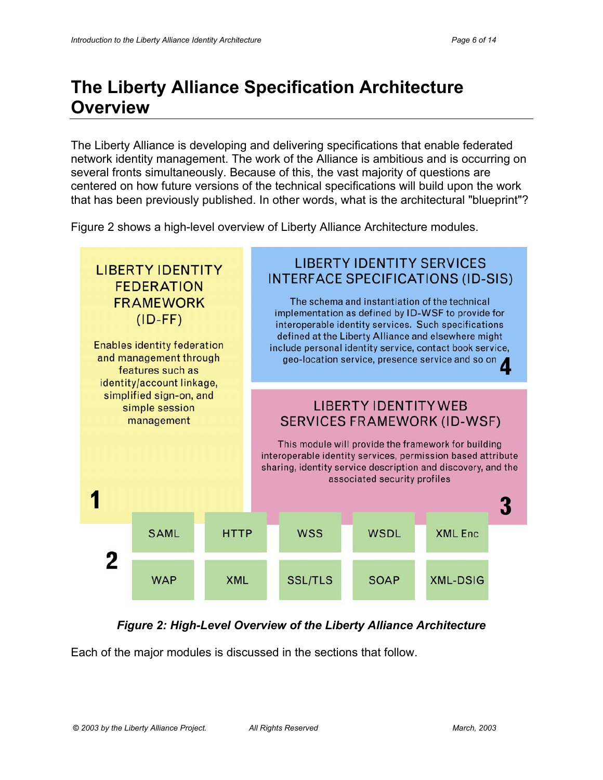## **The Liberty Alliance Specification Architecture Overview**

The Liberty Alliance is developing and delivering specifications that enable federated network identity management. The work of the Alliance is ambitious and is occurring on several fronts simultaneously. Because of this, the vast majority of questions are centered on how future versions of the technical specifications will build upon the work that has been previously published. In other words, what is the architectural "blueprint"?

Figure 2 shows a high-level overview of Liberty Alliance Architecture modules.



### *Figure 2: High-Level Overview of the Liberty Alliance Architecture*

Each of the major modules is discussed in the sections that follow.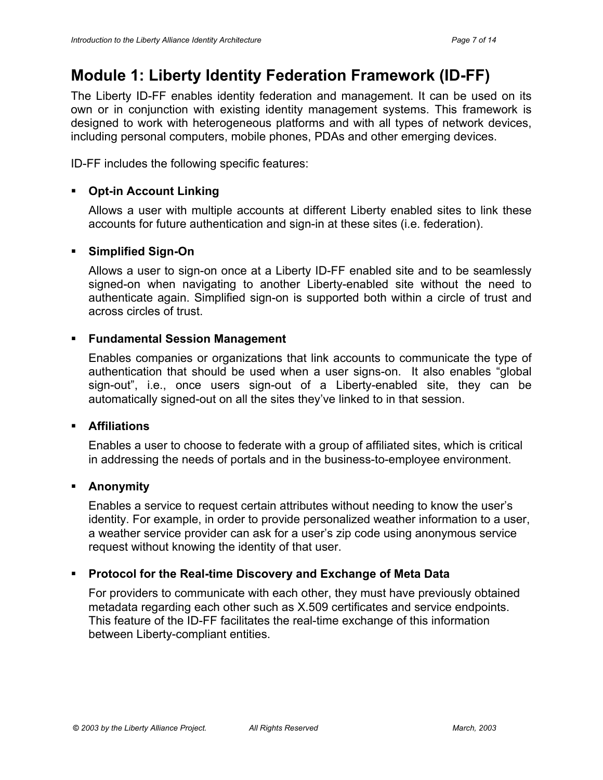### **Module 1: Liberty Identity Federation Framework (ID-FF)**

The Liberty ID-FF enables identity federation and management. It can be used on its own or in conjunction with existing identity management systems. This framework is designed to work with heterogeneous platforms and with all types of network devices, including personal computers, mobile phones, PDAs and other emerging devices.

ID-FF includes the following specific features:

### **Opt-in Account Linking**

Allows a user with multiple accounts at different Liberty enabled sites to link these accounts for future authentication and sign-in at these sites (i.e. federation).

### **Simplified Sign-On**

Allows a user to sign-on once at a Liberty ID-FF enabled site and to be seamlessly signed-on when navigating to another Liberty-enabled site without the need to authenticate again. Simplified sign-on is supported both within a circle of trust and across circles of trust.

### **Fundamental Session Management**

Enables companies or organizations that link accounts to communicate the type of authentication that should be used when a user signs-on. It also enables "global sign-out", i.e., once users sign-out of a Liberty-enabled site, they can be automatically signed-out on all the sites they've linked to in that session.

### **Affiliations**

Enables a user to choose to federate with a group of affiliated sites, which is critical in addressing the needs of portals and in the business-to-employee environment.

### **Anonymity**

Enables a service to request certain attributes without needing to know the user's identity. For example, in order to provide personalized weather information to a user, a weather service provider can ask for a user's zip code using anonymous service request without knowing the identity of that user.

### **Protocol for the Real-time Discovery and Exchange of Meta Data**

For providers to communicate with each other, they must have previously obtained metadata regarding each other such as X.509 certificates and service endpoints. This feature of the ID-FF facilitates the real-time exchange of this information between Liberty-compliant entities.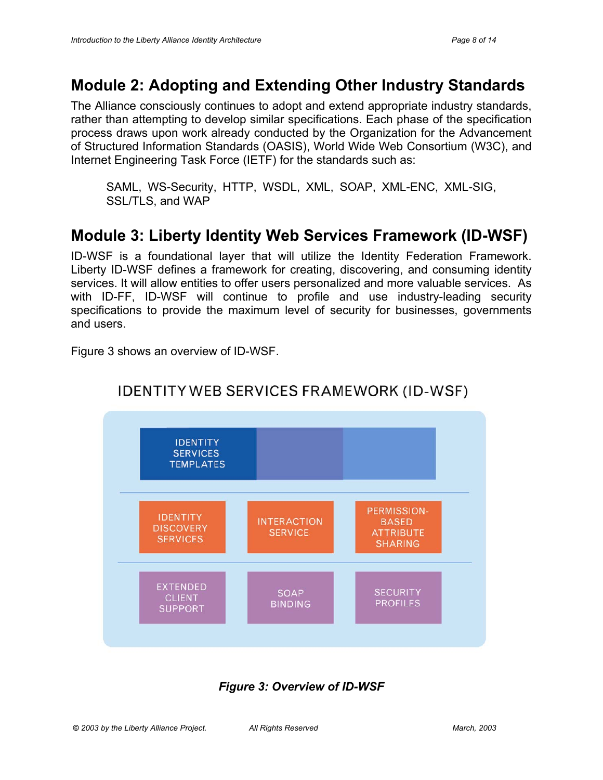### **Module 2: Adopting and Extending Other Industry Standards**

The Alliance consciously continues to adopt and extend appropriate industry standards, rather than attempting to develop similar specifications. Each phase of the specification process draws upon work already conducted by the Organization for the Advancement of Structured Information Standards (OASIS), World Wide Web Consortium (W3C), and Internet Engineering Task Force (IETF) for the standards such as:

SAML, WS-Security, HTTP, WSDL, XML, SOAP, XML-ENC, XML-SIG, SSL/TLS, and WAP

### **Module 3: Liberty Identity Web Services Framework (ID-WSF)**

ID-WSF is a foundational layer that will utilize the Identity Federation Framework. Liberty ID-WSF defines a framework for creating, discovering, and consuming identity services. It will allow entities to offer users personalized and more valuable services. As with ID-FF, ID-WSF will continue to profile and use industry-leading security specifications to provide the maximum level of security for businesses, governments and users.

Figure 3 shows an overview of ID-WSF.



### **IDENTITY WEB SERVICES FRAMEWORK (ID-WSF)**

### *Figure 3: Overview of ID-WSF*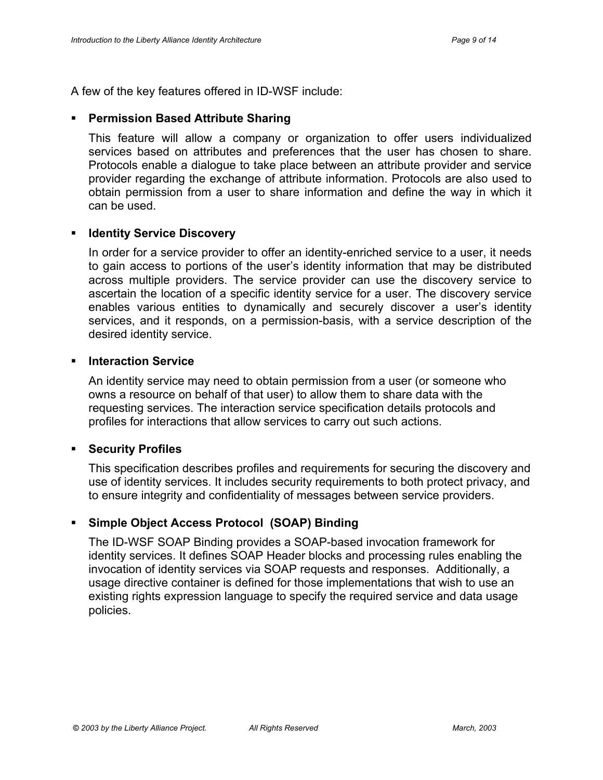A few of the key features offered in ID-WSF include:

### **Permission Based Attribute Sharing**

This feature will allow a company or organization to offer users individualized services based on attributes and preferences that the user has chosen to share. Protocols enable a dialogue to take place between an attribute provider and service provider regarding the exchange of attribute information. Protocols are also used to obtain permission from a user to share information and define the way in which it can be used.

### **Identity Service Discovery**

In order for a service provider to offer an identity-enriched service to a user, it needs to gain access to portions of the user's identity information that may be distributed across multiple providers. The service provider can use the discovery service to ascertain the location of a specific identity service for a user. The discovery service enables various entities to dynamically and securely discover a user's identity services, and it responds, on a permission-basis, with a service description of the desired identity service.

### **Interaction Service**

An identity service may need to obtain permission from a user (or someone who owns a resource on behalf of that user) to allow them to share data with the requesting services. The interaction service specification details protocols and profiles for interactions that allow services to carry out such actions.

### **Security Profiles**

This specification describes profiles and requirements for securing the discovery and use of identity services. It includes security requirements to both protect privacy, and to ensure integrity and confidentiality of messages between service providers.

### **Simple Object Access Protocol (SOAP) Binding**

The ID-WSF SOAP Binding provides a SOAP-based invocation framework for identity services. It defines SOAP Header blocks and processing rules enabling the invocation of identity services via SOAP requests and responses. Additionally, a usage directive container is defined for those implementations that wish to use an existing rights expression language to specify the required service and data usage policies.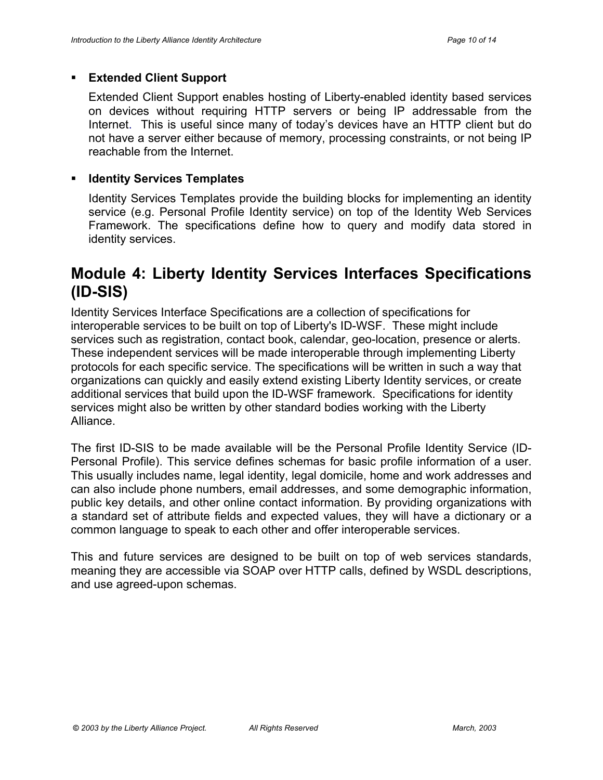### **Extended Client Support**

Extended Client Support enables hosting of Liberty-enabled identity based services on devices without requiring HTTP servers or being IP addressable from the Internet. This is useful since many of today's devices have an HTTP client but do not have a server either because of memory, processing constraints, or not being IP reachable from the Internet.

### **EXECUTE:** Identity Services Templates

Identity Services Templates provide the building blocks for implementing an identity service (e.g. Personal Profile Identity service) on top of the Identity Web Services Framework. The specifications define how to query and modify data stored in identity services.

### **Module 4: Liberty Identity Services Interfaces Specifications (ID-SIS)**

Identity Services Interface Specifications are a collection of specifications for interoperable services to be built on top of Liberty's ID-WSF. These might include services such as registration, contact book, calendar, geo-location, presence or alerts. These independent services will be made interoperable through implementing Liberty protocols for each specific service. The specifications will be written in such a way that organizations can quickly and easily extend existing Liberty Identity services, or create additional services that build upon the ID-WSF framework. Specifications for identity services might also be written by other standard bodies working with the Liberty Alliance.

The first ID-SIS to be made available will be the Personal Profile Identity Service (ID-Personal Profile). This service defines schemas for basic profile information of a user. This usually includes name, legal identity, legal domicile, home and work addresses and can also include phone numbers, email addresses, and some demographic information, public key details, and other online contact information. By providing organizations with a standard set of attribute fields and expected values, they will have a dictionary or a common language to speak to each other and offer interoperable services.

This and future services are designed to be built on top of web services standards, meaning they are accessible via SOAP over HTTP calls, defined by WSDL descriptions, and use agreed-upon schemas.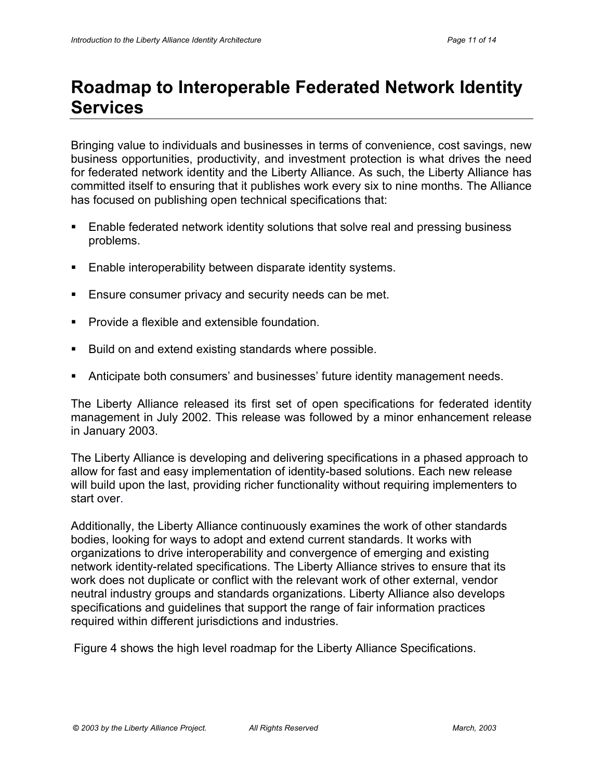## **Roadmap to Interoperable Federated Network Identity Services**

Bringing value to individuals and businesses in terms of convenience, cost savings, new business opportunities, productivity, and investment protection is what drives the need for federated network identity and the Liberty Alliance. As such, the Liberty Alliance has committed itself to ensuring that it publishes work every six to nine months. The Alliance has focused on publishing open technical specifications that:

- Enable federated network identity solutions that solve real and pressing business problems.
- Enable interoperability between disparate identity systems.
- Ensure consumer privacy and security needs can be met.
- Provide a flexible and extensible foundation.
- Build on and extend existing standards where possible.
- Anticipate both consumers' and businesses' future identity management needs.

The Liberty Alliance released its first set of open specifications for federated identity management in July 2002. This release was followed by a minor enhancement release in January 2003.

The Liberty Alliance is developing and delivering specifications in a phased approach to allow for fast and easy implementation of identity-based solutions. Each new release will build upon the last, providing richer functionality without requiring implementers to start over.

Additionally, the Liberty Alliance continuously examines the work of other standards bodies, looking for ways to adopt and extend current standards. It works with organizations to drive interoperability and convergence of emerging and existing network identity-related specifications. The Liberty Alliance strives to ensure that its work does not duplicate or conflict with the relevant work of other external, vendor neutral industry groups and standards organizations. Liberty Alliance also develops specifications and guidelines that support the range of fair information practices required within different jurisdictions and industries.

Figure 4 shows the high level roadmap for the Liberty Alliance Specifications.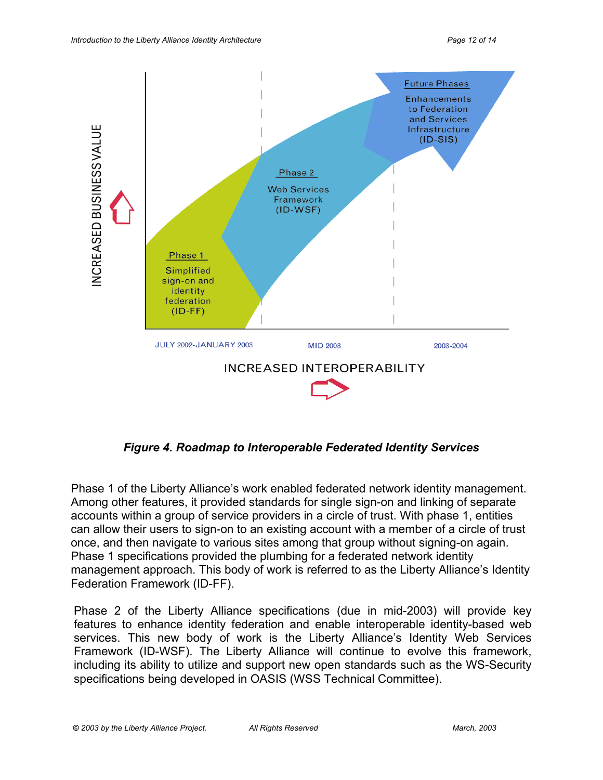

*Figure 4. Roadmap to Interoperable Federated Identity Services*

Phase 1 of the Liberty Alliance's work enabled federated network identity management. Among other features, it provided standards for single sign-on and linking of separate accounts within a group of service providers in a circle of trust. With phase 1, entities can allow their users to sign-on to an existing account with a member of a circle of trust once, and then navigate to various sites among that group without signing-on again. Phase 1 specifications provided the plumbing for a federated network identity management approach. This body of work is referred to as the Liberty Alliance's Identity Federation Framework (ID-FF).

Phase 2 of the Liberty Alliance specifications (due in mid-2003) will provide key features to enhance identity federation and enable interoperable identity-based web services. This new body of work is the Liberty Alliance's Identity Web Services Framework (ID-WSF). The Liberty Alliance will continue to evolve this framework, including its ability to utilize and support new open standards such as the WS-Security specifications being developed in OASIS (WSS Technical Committee).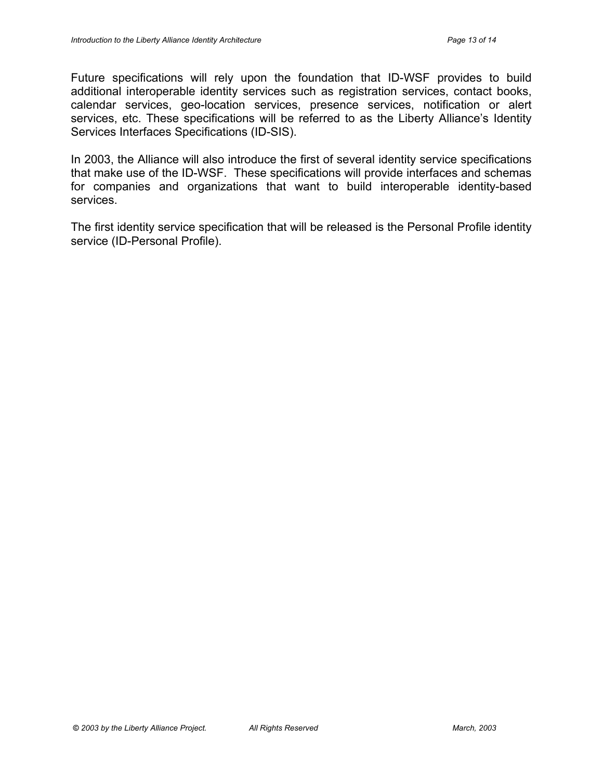Future specifications will rely upon the foundation that ID-WSF provides to build additional interoperable identity services such as registration services, contact books, calendar services, geo-location services, presence services, notification or alert services, etc. These specifications will be referred to as the Liberty Alliance's Identity Services Interfaces Specifications (ID-SIS).

In 2003, the Alliance will also introduce the first of several identity service specifications that make use of the ID-WSF. These specifications will provide interfaces and schemas for companies and organizations that want to build interoperable identity-based services.

The first identity service specification that will be released is the Personal Profile identity service (ID-Personal Profile).